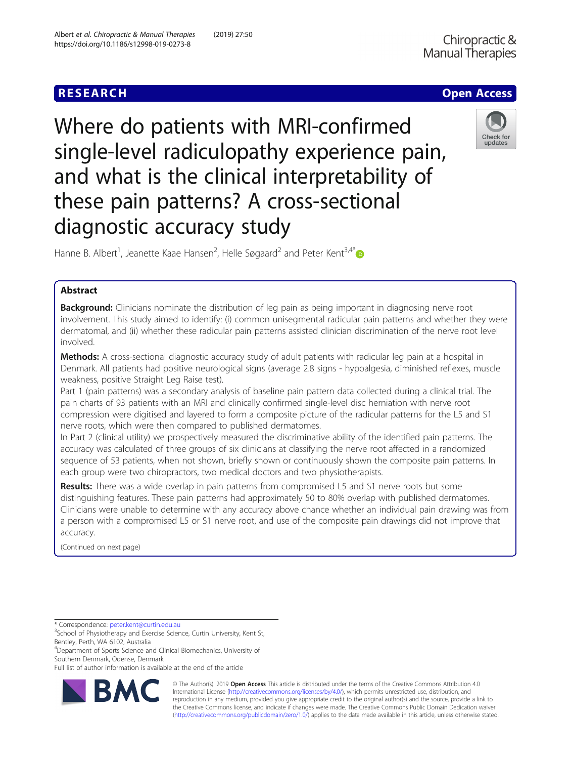

Where do patients with MRI-confirmed single-level radiculopathy experience pain, and what is the clinical interpretability of these pain patterns? A cross-sectional diagnostic accuracy study



Hanne B. Albert<sup>1</sup>, Jeanette Kaae Hansen<sup>2</sup>, Helle Søgaard<sup>2</sup> and Peter Kent<sup>3,4\*</sup>

# Abstract

**Background:** Clinicians nominate the distribution of leg pain as being important in diagnosing nerve root involvement. This study aimed to identify: (i) common unisegmental radicular pain patterns and whether they were dermatomal, and (ii) whether these radicular pain patterns assisted clinician discrimination of the nerve root level involved.

Methods: A cross-sectional diagnostic accuracy study of adult patients with radicular leg pain at a hospital in Denmark. All patients had positive neurological signs (average 2.8 signs - hypoalgesia, diminished reflexes, muscle weakness, positive Straight Leg Raise test).

Part 1 (pain patterns) was a secondary analysis of baseline pain pattern data collected during a clinical trial. The pain charts of 93 patients with an MRI and clinically confirmed single-level disc herniation with nerve root compression were digitised and layered to form a composite picture of the radicular patterns for the L5 and S1 nerve roots, which were then compared to published dermatomes.

In Part 2 (clinical utility) we prospectively measured the discriminative ability of the identified pain patterns. The accuracy was calculated of three groups of six clinicians at classifying the nerve root affected in a randomized sequence of 53 patients, when not shown, briefly shown or continuously shown the composite pain patterns. In each group were two chiropractors, two medical doctors and two physiotherapists.

Results: There was a wide overlap in pain patterns from compromised L5 and S1 nerve roots but some distinguishing features. These pain patterns had approximately 50 to 80% overlap with published dermatomes. Clinicians were unable to determine with any accuracy above chance whether an individual pain drawing was from a person with a compromised L5 or S1 nerve root, and use of the composite pain drawings did not improve that accuracy.

(Continued on next page)

\* Correspondence: [peter.kent@curtin.edu.au](mailto:peter.kent@curtin.edu.au) <sup>3</sup>

4 Department of Sports Science and Clinical Biomechanics, University of Southern Denmark, Odense, Denmark

Full list of author information is available at the end of the article



© The Author(s). 2019 **Open Access** This article is distributed under the terms of the Creative Commons Attribution 4.0 International License [\(http://creativecommons.org/licenses/by/4.0/](http://creativecommons.org/licenses/by/4.0/)), which permits unrestricted use, distribution, and reproduction in any medium, provided you give appropriate credit to the original author(s) and the source, provide a link to the Creative Commons license, and indicate if changes were made. The Creative Commons Public Domain Dedication waiver [\(http://creativecommons.org/publicdomain/zero/1.0/](http://creativecommons.org/publicdomain/zero/1.0/)) applies to the data made available in this article, unless otherwise stated.

<sup>&</sup>lt;sup>3</sup>School of Physiotherapy and Exercise Science, Curtin University, Kent St, Bentley, Perth, WA 6102, Australia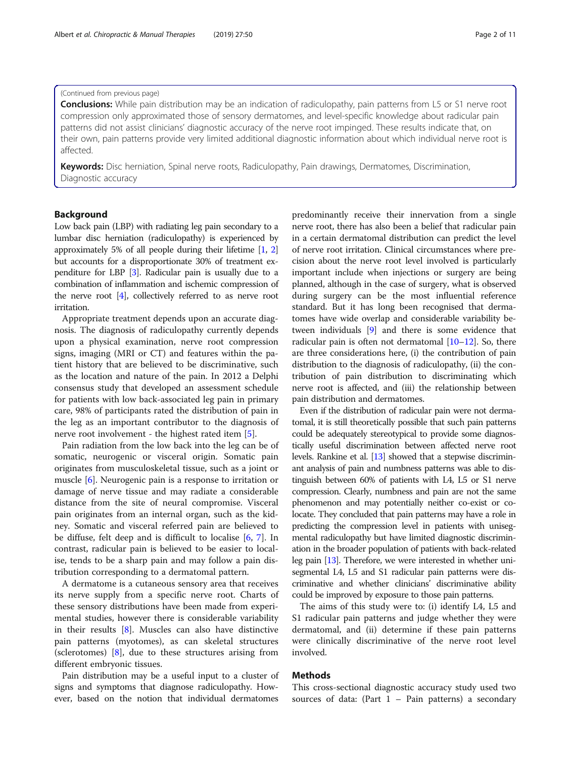# (Continued from previous page)

**Conclusions:** While pain distribution may be an indication of radiculopathy, pain patterns from L5 or S1 nerve root compression only approximated those of sensory dermatomes, and level-specific knowledge about radicular pain patterns did not assist clinicians' diagnostic accuracy of the nerve root impinged. These results indicate that, on their own, pain patterns provide very limited additional diagnostic information about which individual nerve root is affected.

Keywords: Disc herniation, Spinal nerve roots, Radiculopathy, Pain drawings, Dermatomes, Discrimination, Diagnostic accuracy

# Background

Low back pain (LBP) with radiating leg pain secondary to a lumbar disc herniation (radiculopathy) is experienced by approximately 5% of all people during their lifetime [\[1,](#page-9-0) [2](#page-9-0)] but accounts for a disproportionate 30% of treatment expenditure for LBP [[3](#page-9-0)]. Radicular pain is usually due to a combination of inflammation and ischemic compression of the nerve root [\[4](#page-9-0)], collectively referred to as nerve root irritation.

Appropriate treatment depends upon an accurate diagnosis. The diagnosis of radiculopathy currently depends upon a physical examination, nerve root compression signs, imaging (MRI or CT) and features within the patient history that are believed to be discriminative, such as the location and nature of the pain. In 2012 a Delphi consensus study that developed an assessment schedule for patients with low back-associated leg pain in primary care, 98% of participants rated the distribution of pain in the leg as an important contributor to the diagnosis of nerve root involvement - the highest rated item [[5\]](#page-9-0).

Pain radiation from the low back into the leg can be of somatic, neurogenic or visceral origin. Somatic pain originates from musculoskeletal tissue, such as a joint or muscle [[6](#page-9-0)]. Neurogenic pain is a response to irritation or damage of nerve tissue and may radiate a considerable distance from the site of neural compromise. Visceral pain originates from an internal organ, such as the kidney. Somatic and visceral referred pain are believed to be diffuse, felt deep and is difficult to localise [[6,](#page-9-0) [7\]](#page-9-0). In contrast, radicular pain is believed to be easier to localise, tends to be a sharp pain and may follow a pain distribution corresponding to a dermatomal pattern.

A dermatome is a cutaneous sensory area that receives its nerve supply from a specific nerve root. Charts of these sensory distributions have been made from experimental studies, however there is considerable variability in their results [[8\]](#page-9-0). Muscles can also have distinctive pain patterns (myotomes), as can skeletal structures (sclerotomes) [[8](#page-9-0)], due to these structures arising from different embryonic tissues.

Pain distribution may be a useful input to a cluster of signs and symptoms that diagnose radiculopathy. However, based on the notion that individual dermatomes predominantly receive their innervation from a single nerve root, there has also been a belief that radicular pain in a certain dermatomal distribution can predict the level of nerve root irritation. Clinical circumstances where precision about the nerve root level involved is particularly important include when injections or surgery are being planned, although in the case of surgery, what is observed during surgery can be the most influential reference standard. But it has long been recognised that dermatomes have wide overlap and considerable variability between individuals [\[9](#page-9-0)] and there is some evidence that radicular pain is often not dermatomal  $[10-12]$  $[10-12]$  $[10-12]$  $[10-12]$ . So, there are three considerations here, (i) the contribution of pain distribution to the diagnosis of radiculopathy, (ii) the contribution of pain distribution to discriminating which nerve root is affected, and (iii) the relationship between pain distribution and dermatomes.

Even if the distribution of radicular pain were not dermatomal, it is still theoretically possible that such pain patterns could be adequately stereotypical to provide some diagnostically useful discrimination between affected nerve root levels. Rankine et al. [\[13](#page-9-0)] showed that a stepwise discriminant analysis of pain and numbness patterns was able to distinguish between 60% of patients with L4, L5 or S1 nerve compression. Clearly, numbness and pain are not the same phenomenon and may potentially neither co-exist or colocate. They concluded that pain patterns may have a role in predicting the compression level in patients with unisegmental radiculopathy but have limited diagnostic discrimination in the broader population of patients with back-related leg pain [\[13\]](#page-9-0). Therefore, we were interested in whether unisegmental L4, L5 and S1 radicular pain patterns were discriminative and whether clinicians' discriminative ability could be improved by exposure to those pain patterns.

The aims of this study were to: (i) identify L4, L5 and S1 radicular pain patterns and judge whether they were dermatomal, and (ii) determine if these pain patterns were clinically discriminative of the nerve root level involved.

# Methods

This cross-sectional diagnostic accuracy study used two sources of data: (Part  $1$  – Pain patterns) a secondary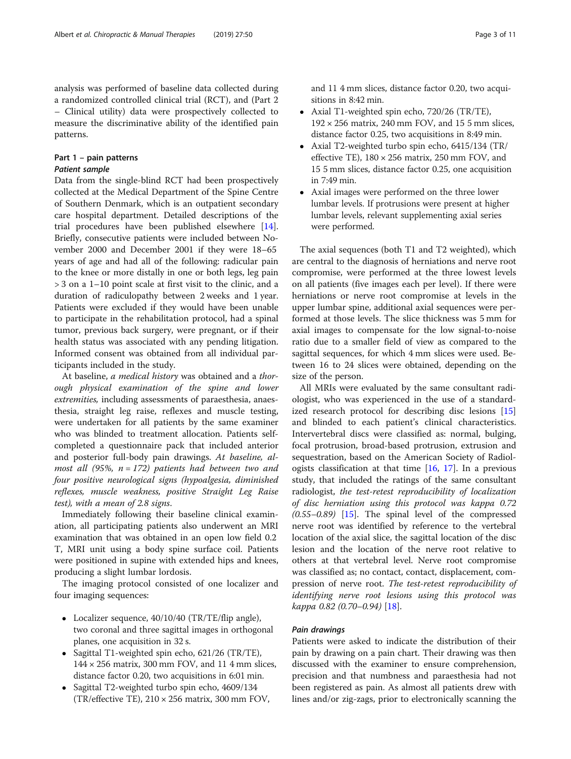analysis was performed of baseline data collected during a randomized controlled clinical trial (RCT), and (Part 2 – Clinical utility) data were prospectively collected to measure the discriminative ability of the identified pain patterns.

# Part 1 – pain patterns Patient sample

Data from the single-blind RCT had been prospectively collected at the Medical Department of the Spine Centre of Southern Denmark, which is an outpatient secondary care hospital department. Detailed descriptions of the trial procedures have been published elsewhere [\[14](#page-9-0)]. Briefly, consecutive patients were included between November 2000 and December 2001 if they were 18–65 years of age and had all of the following: radicular pain to the knee or more distally in one or both legs, leg pain > 3 on a 1–10 point scale at first visit to the clinic, and a duration of radiculopathy between 2 weeks and 1 year. Patients were excluded if they would have been unable to participate in the rehabilitation protocol, had a spinal tumor, previous back surgery, were pregnant, or if their health status was associated with any pending litigation. Informed consent was obtained from all individual participants included in the study.

At baseline, a medical history was obtained and a thorough physical examination of the spine and lower extremities, including assessments of paraesthesia, anaesthesia, straight leg raise, reflexes and muscle testing, were undertaken for all patients by the same examiner who was blinded to treatment allocation. Patients selfcompleted a questionnaire pack that included anterior and posterior full-body pain drawings. At baseline, almost all (95%,  $n = 172$ ) patients had between two and four positive neurological signs (hypoalgesia, diminished reflexes, muscle weakness, positive Straight Leg Raise test), with a mean of 2.8 signs.

Immediately following their baseline clinical examination, all participating patients also underwent an MRI examination that was obtained in an open low field 0.2 T, MRI unit using a body spine surface coil. Patients were positioned in supine with extended hips and knees, producing a slight lumbar lordosis.

The imaging protocol consisted of one localizer and four imaging sequences:

- Localizer sequence, 40/10/40 (TR/TE/flip angle), two coronal and three sagittal images in orthogonal planes, one acquisition in 32 s.
- Sagittal T1-weighted spin echo, 621/26 (TR/TE),  $144 \times 256$  matrix, 300 mm FOV, and 11 4 mm slices, distance factor 0.20, two acquisitions in 6:01 min.
- Sagittal T2-weighted turbo spin echo, 4609/134 (TR/effective TE),  $210 \times 256$  matrix, 300 mm FOV,

and 11 4 mm slices, distance factor 0.20, two acquisitions in 8:42 min.

- Axial T1-weighted spin echo, 720/26 (TR/TE),  $192 \times 256$  matrix, 240 mm FOV, and 15 5 mm slices, distance factor 0.25, two acquisitions in 8:49 min.
- Axial T2-weighted turbo spin echo, 6415/134 (TR/ effective TE),  $180 \times 256$  matrix, 250 mm FOV, and 15 5 mm slices, distance factor 0.25, one acquisition in 7:49 min.
- Axial images were performed on the three lower lumbar levels. If protrusions were present at higher lumbar levels, relevant supplementing axial series were performed.

The axial sequences (both T1 and T2 weighted), which are central to the diagnosis of herniations and nerve root compromise, were performed at the three lowest levels on all patients (five images each per level). If there were herniations or nerve root compromise at levels in the upper lumbar spine, additional axial sequences were performed at those levels. The slice thickness was 5 mm for axial images to compensate for the low signal-to-noise ratio due to a smaller field of view as compared to the sagittal sequences, for which 4 mm slices were used. Between 16 to 24 slices were obtained, depending on the size of the person.

All MRIs were evaluated by the same consultant radiologist, who was experienced in the use of a standardized research protocol for describing disc lesions [[15](#page-9-0)] and blinded to each patient's clinical characteristics. Intervertebral discs were classified as: normal, bulging, focal protrusion, broad-based protrusion, extrusion and sequestration, based on the American Society of Radiologists classification at that time  $[16, 17]$  $[16, 17]$  $[16, 17]$  $[16, 17]$ . In a previous study, that included the ratings of the same consultant radiologist, the test-retest reproducibility of localization of disc herniation using this protocol was kappa 0.72  $(0.55-0.89)$  [\[15](#page-9-0)]. The spinal level of the compressed nerve root was identified by reference to the vertebral location of the axial slice, the sagittal location of the disc lesion and the location of the nerve root relative to others at that vertebral level. Nerve root compromise was classified as; no contact, contact, displacement, compression of nerve root. The test-retest reproducibility of identifying nerve root lesions using this protocol was kappa 0.82 (0.70–0.94) [\[18\]](#page-9-0).

# Pain drawings

Patients were asked to indicate the distribution of their pain by drawing on a pain chart. Their drawing was then discussed with the examiner to ensure comprehension, precision and that numbness and paraesthesia had not been registered as pain. As almost all patients drew with lines and/or zig-zags, prior to electronically scanning the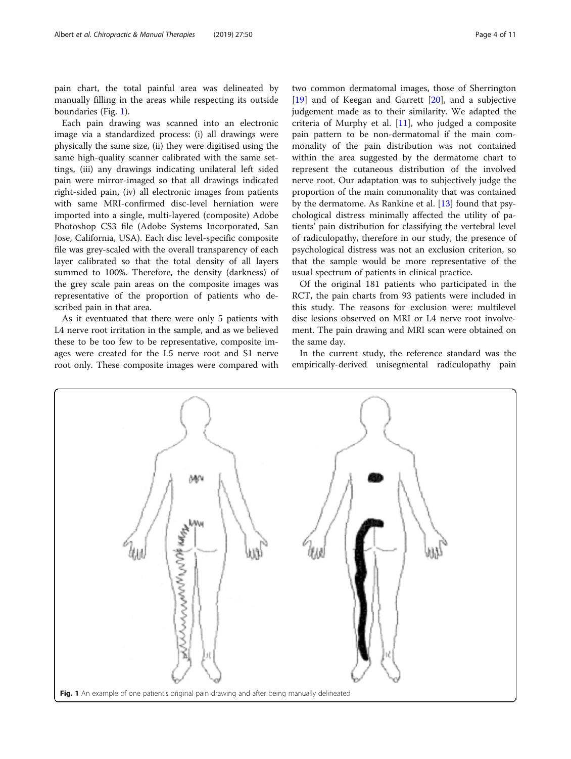pain chart, the total painful area was delineated by manually filling in the areas while respecting its outside boundaries (Fig. 1).

Each pain drawing was scanned into an electronic image via a standardized process: (i) all drawings were physically the same size, (ii) they were digitised using the same high-quality scanner calibrated with the same settings, (iii) any drawings indicating unilateral left sided pain were mirror-imaged so that all drawings indicated right-sided pain, (iv) all electronic images from patients with same MRI-confirmed disc-level herniation were imported into a single, multi-layered (composite) Adobe Photoshop CS3 file (Adobe Systems Incorporated, San Jose, California, USA). Each disc level-specific composite file was grey-scaled with the overall transparency of each layer calibrated so that the total density of all layers summed to 100%. Therefore, the density (darkness) of the grey scale pain areas on the composite images was representative of the proportion of patients who described pain in that area.

As it eventuated that there were only 5 patients with L4 nerve root irritation in the sample, and as we believed these to be too few to be representative, composite images were created for the L5 nerve root and S1 nerve root only. These composite images were compared with

two common dermatomal images, those of Sherrington [[19\]](#page-9-0) and of Keegan and Garrett [[20\]](#page-9-0), and a subjective judgement made as to their similarity. We adapted the criteria of Murphy et al. [[11](#page-9-0)], who judged a composite pain pattern to be non-dermatomal if the main commonality of the pain distribution was not contained within the area suggested by the dermatome chart to represent the cutaneous distribution of the involved nerve root. Our adaptation was to subjectively judge the proportion of the main commonality that was contained by the dermatome. As Rankine et al. [[13\]](#page-9-0) found that psychological distress minimally affected the utility of patients' pain distribution for classifying the vertebral level of radiculopathy, therefore in our study, the presence of psychological distress was not an exclusion criterion, so that the sample would be more representative of the usual spectrum of patients in clinical practice.

Of the original 181 patients who participated in the RCT, the pain charts from 93 patients were included in this study. The reasons for exclusion were: multilevel disc lesions observed on MRI or L4 nerve root involvement. The pain drawing and MRI scan were obtained on the same day.

In the current study, the reference standard was the empirically-derived unisegmental radiculopathy pain

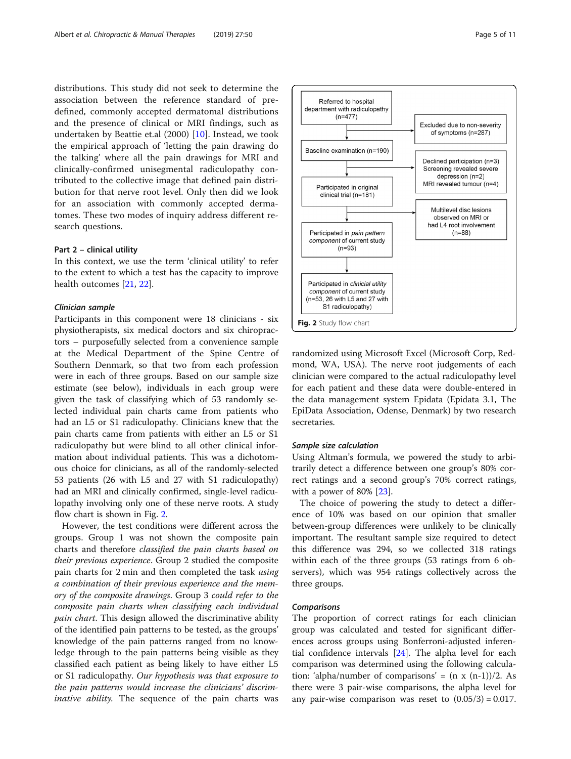distributions. This study did not seek to determine the association between the reference standard of predefined, commonly accepted dermatomal distributions and the presence of clinical or MRI findings, such as undertaken by Beattie et.al (2000) [[10\]](#page-9-0). Instead, we took the empirical approach of 'letting the pain drawing do the talking' where all the pain drawings for MRI and clinically-confirmed unisegmental radiculopathy contributed to the collective image that defined pain distribution for that nerve root level. Only then did we look for an association with commonly accepted dermatomes. These two modes of inquiry address different research questions.

## Part 2 – clinical utility

In this context, we use the term 'clinical utility' to refer to the extent to which a test has the capacity to improve health outcomes [\[21](#page-9-0), [22](#page-9-0)].

# Clinician sample

Participants in this component were 18 clinicians - six physiotherapists, six medical doctors and six chiropractors – purposefully selected from a convenience sample at the Medical Department of the Spine Centre of Southern Denmark, so that two from each profession were in each of three groups. Based on our sample size estimate (see below), individuals in each group were given the task of classifying which of 53 randomly selected individual pain charts came from patients who had an L5 or S1 radiculopathy. Clinicians knew that the pain charts came from patients with either an L5 or S1 radiculopathy but were blind to all other clinical information about individual patients. This was a dichotomous choice for clinicians, as all of the randomly-selected 53 patients (26 with L5 and 27 with S1 radiculopathy) had an MRI and clinically confirmed, single-level radiculopathy involving only one of these nerve roots. A study flow chart is shown in Fig. 2.

However, the test conditions were different across the groups. Group 1 was not shown the composite pain charts and therefore classified the pain charts based on their previous experience. Group 2 studied the composite pain charts for 2 min and then completed the task using a combination of their previous experience and the memory of the composite drawings. Group 3 could refer to the composite pain charts when classifying each individual pain chart. This design allowed the discriminative ability of the identified pain patterns to be tested, as the groups' knowledge of the pain patterns ranged from no knowledge through to the pain patterns being visible as they classified each patient as being likely to have either L5 or S1 radiculopathy. Our hypothesis was that exposure to the pain patterns would increase the clinicians' discriminative ability. The sequence of the pain charts was



randomized using Microsoft Excel (Microsoft Corp, Redmond, WA, USA). The nerve root judgements of each clinician were compared to the actual radiculopathy level for each patient and these data were double-entered in the data management system Epidata (Epidata 3.1, The EpiData Association, Odense, Denmark) by two research secretaries.

## Sample size calculation

Using Altman's formula, we powered the study to arbitrarily detect a difference between one group's 80% correct ratings and a second group's 70% correct ratings, with a power of 80% [[23\]](#page-9-0).

The choice of powering the study to detect a difference of 10% was based on our opinion that smaller between-group differences were unlikely to be clinically important. The resultant sample size required to detect this difference was 294, so we collected 318 ratings within each of the three groups (53 ratings from 6 observers), which was 954 ratings collectively across the three groups.

# **Comparisons**

The proportion of correct ratings for each clinician group was calculated and tested for significant differences across groups using Bonferroni-adjusted inferential confidence intervals [\[24](#page-9-0)]. The alpha level for each comparison was determined using the following calculation: 'alpha/number of comparisons' =  $(n x (n-1))/2$ . As there were 3 pair-wise comparisons, the alpha level for any pair-wise comparison was reset to  $(0.05/3) = 0.017$ .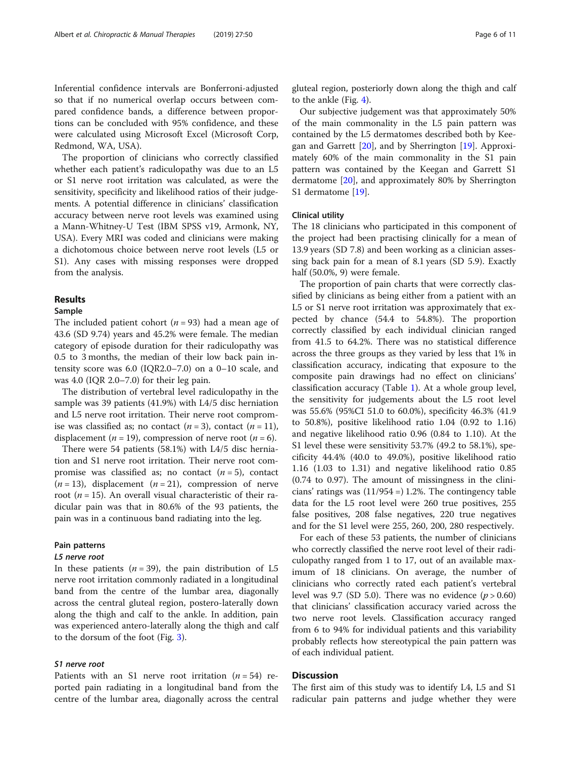Inferential confidence intervals are Bonferroni-adjusted so that if no numerical overlap occurs between compared confidence bands, a difference between proportions can be concluded with 95% confidence, and these were calculated using Microsoft Excel (Microsoft Corp, Redmond, WA, USA).

The proportion of clinicians who correctly classified whether each patient's radiculopathy was due to an L5 or S1 nerve root irritation was calculated, as were the sensitivity, specificity and likelihood ratios of their judgements. A potential difference in clinicians' classification accuracy between nerve root levels was examined using a Mann-Whitney-U Test (IBM SPSS v19, Armonk, NY, USA). Every MRI was coded and clinicians were making a dichotomous choice between nerve root levels (L5 or S1). Any cases with missing responses were dropped from the analysis.

# Results

# Sample

The included patient cohort ( $n = 93$ ) had a mean age of 43.6 (SD 9.74) years and 45.2% were female. The median category of episode duration for their radiculopathy was 0.5 to 3 months, the median of their low back pain intensity score was 6.0 (IQR2.0–7.0) on a 0–10 scale, and was 4.0 (IQR 2.0–7.0) for their leg pain.

The distribution of vertebral level radiculopathy in the sample was 39 patients (41.9%) with L4/5 disc herniation and L5 nerve root irritation. Their nerve root compromise was classified as; no contact  $(n=3)$ , contact  $(n=11)$ , displacement ( $n = 19$ ), compression of nerve root ( $n = 6$ ).

There were 54 patients (58.1%) with L4/5 disc herniation and S1 nerve root irritation. Their nerve root compromise was classified as; no contact  $(n = 5)$ , contact  $(n = 13)$ , displacement  $(n = 21)$ , compression of nerve root ( $n = 15$ ). An overall visual characteristic of their radicular pain was that in 80.6% of the 93 patients, the pain was in a continuous band radiating into the leg.

# Pain patterns

# L5 nerve root

In these patients  $(n = 39)$ , the pain distribution of L5 nerve root irritation commonly radiated in a longitudinal band from the centre of the lumbar area, diagonally across the central gluteal region, postero-laterally down along the thigh and calf to the ankle. In addition, pain was experienced antero-laterally along the thigh and calf to the dorsum of the foot (Fig. [3](#page-6-0)).

# S1 nerve root

Patients with an S1 nerve root irritation  $(n = 54)$  reported pain radiating in a longitudinal band from the centre of the lumbar area, diagonally across the central gluteal region, posteriorly down along the thigh and calf to the ankle (Fig. [4\)](#page-7-0).

Our subjective judgement was that approximately 50% of the main commonality in the L5 pain pattern was contained by the L5 dermatomes described both by Keegan and Garrett  $[20]$  $[20]$  $[20]$ , and by Sherrington  $[19]$  $[19]$ . Approximately 60% of the main commonality in the S1 pain pattern was contained by the Keegan and Garrett S1 dermatome [\[20\]](#page-9-0), and approximately 80% by Sherrington S1 dermatome [\[19](#page-9-0)].

# Clinical utility

The 18 clinicians who participated in this component of the project had been practising clinically for a mean of 13.9 years (SD 7.8) and been working as a clinician assessing back pain for a mean of 8.1 years (SD 5.9). Exactly half (50.0%, 9) were female.

The proportion of pain charts that were correctly classified by clinicians as being either from a patient with an L5 or S1 nerve root irritation was approximately that expected by chance (54.4 to 54.8%). The proportion correctly classified by each individual clinician ranged from 41.5 to 64.2%. There was no statistical difference across the three groups as they varied by less that 1% in classification accuracy, indicating that exposure to the composite pain drawings had no effect on clinicians' classification accuracy (Table [1](#page-8-0)). At a whole group level, the sensitivity for judgements about the L5 root level was 55.6% (95%CI 51.0 to 60.0%), specificity 46.3% (41.9 to 50.8%), positive likelihood ratio 1.04 (0.92 to 1.16) and negative likelihood ratio 0.96 (0.84 to 1.10). At the S1 level these were sensitivity 53.7% (49.2 to 58.1%), specificity 44.4% (40.0 to 49.0%), positive likelihood ratio 1.16 (1.03 to 1.31) and negative likelihood ratio 0.85 (0.74 to 0.97). The amount of missingness in the clinicians' ratings was (11/954 =) 1.2%. The contingency table data for the L5 root level were 260 true positives, 255 false positives, 208 false negatives, 220 true negatives and for the S1 level were 255, 260, 200, 280 respectively.

For each of these 53 patients, the number of clinicians who correctly classified the nerve root level of their radiculopathy ranged from 1 to 17, out of an available maximum of 18 clinicians. On average, the number of clinicians who correctly rated each patient's vertebral level was 9.7 (SD 5.0). There was no evidence  $(p > 0.60)$ that clinicians' classification accuracy varied across the two nerve root levels. Classification accuracy ranged from 6 to 94% for individual patients and this variability probably reflects how stereotypical the pain pattern was of each individual patient.

# **Discussion**

The first aim of this study was to identify L4, L5 and S1 radicular pain patterns and judge whether they were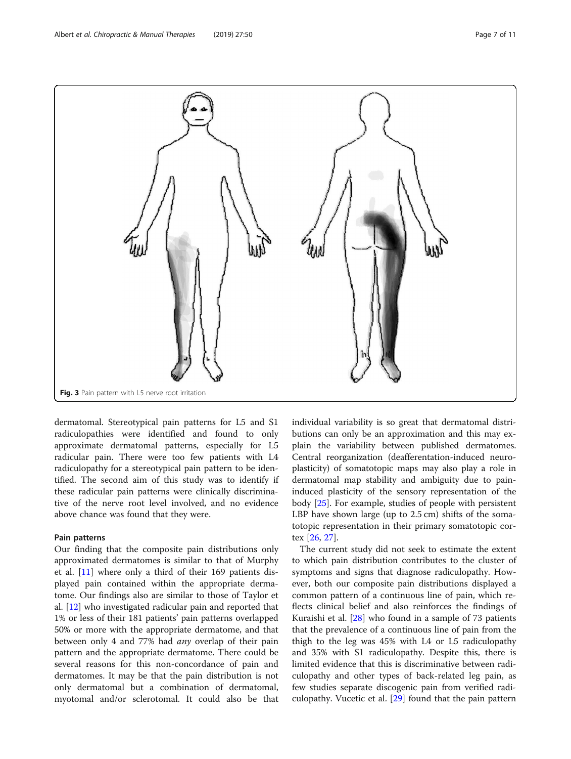<span id="page-6-0"></span>

Fig. 3 Pain pattern with L5 nerve root irritation

dermatomal. Stereotypical pain patterns for L5 and S1 radiculopathies were identified and found to only approximate dermatomal patterns, especially for L5 radicular pain. There were too few patients with L4 radiculopathy for a stereotypical pain pattern to be identified. The second aim of this study was to identify if these radicular pain patterns were clinically discriminative of the nerve root level involved, and no evidence above chance was found that they were.

# Pain patterns

Our finding that the composite pain distributions only approximated dermatomes is similar to that of Murphy et al. [[11\]](#page-9-0) where only a third of their 169 patients displayed pain contained within the appropriate dermatome. Our findings also are similar to those of Taylor et al. [[12\]](#page-9-0) who investigated radicular pain and reported that 1% or less of their 181 patients' pain patterns overlapped 50% or more with the appropriate dermatome, and that between only 4 and 77% had *any* overlap of their pain pattern and the appropriate dermatome. There could be several reasons for this non-concordance of pain and dermatomes. It may be that the pain distribution is not only dermatomal but a combination of dermatomal, myotomal and/or sclerotomal. It could also be that

individual variability is so great that dermatomal distributions can only be an approximation and this may explain the variability between published dermatomes. Central reorganization (deafferentation-induced neuroplasticity) of somatotopic maps may also play a role in dermatomal map stability and ambiguity due to paininduced plasticity of the sensory representation of the body [[25\]](#page-9-0). For example, studies of people with persistent LBP have shown large (up to 2.5 cm) shifts of the somatotopic representation in their primary somatotopic cortex [\[26](#page-9-0), [27\]](#page-9-0).

The current study did not seek to estimate the extent to which pain distribution contributes to the cluster of symptoms and signs that diagnose radiculopathy. However, both our composite pain distributions displayed a common pattern of a continuous line of pain, which reflects clinical belief and also reinforces the findings of Kuraishi et al. [\[28](#page-9-0)] who found in a sample of 73 patients that the prevalence of a continuous line of pain from the thigh to the leg was 45% with L4 or L5 radiculopathy and 35% with S1 radiculopathy. Despite this, there is limited evidence that this is discriminative between radiculopathy and other types of back-related leg pain, as few studies separate discogenic pain from verified radiculopathy. Vucetic et al. [\[29\]](#page-9-0) found that the pain pattern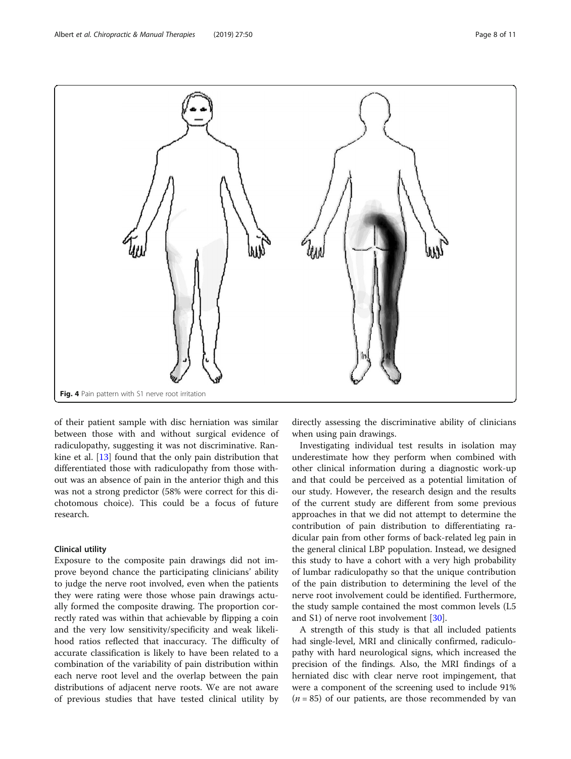<span id="page-7-0"></span>

of their patient sample with disc herniation was similar between those with and without surgical evidence of radiculopathy, suggesting it was not discriminative. Rankine et al. [\[13](#page-9-0)] found that the only pain distribution that differentiated those with radiculopathy from those without was an absence of pain in the anterior thigh and this was not a strong predictor (58% were correct for this dichotomous choice). This could be a focus of future research.

# Clinical utility

Exposure to the composite pain drawings did not improve beyond chance the participating clinicians' ability to judge the nerve root involved, even when the patients they were rating were those whose pain drawings actually formed the composite drawing. The proportion correctly rated was within that achievable by flipping a coin and the very low sensitivity/specificity and weak likelihood ratios reflected that inaccuracy. The difficulty of accurate classification is likely to have been related to a combination of the variability of pain distribution within each nerve root level and the overlap between the pain distributions of adjacent nerve roots. We are not aware of previous studies that have tested clinical utility by

directly assessing the discriminative ability of clinicians when using pain drawings.

Investigating individual test results in isolation may underestimate how they perform when combined with other clinical information during a diagnostic work-up and that could be perceived as a potential limitation of our study. However, the research design and the results of the current study are different from some previous approaches in that we did not attempt to determine the contribution of pain distribution to differentiating radicular pain from other forms of back-related leg pain in the general clinical LBP population. Instead, we designed this study to have a cohort with a very high probability of lumbar radiculopathy so that the unique contribution of the pain distribution to determining the level of the nerve root involvement could be identified. Furthermore, the study sample contained the most common levels (L5 and S1) of nerve root involvement [\[30](#page-9-0)].

A strength of this study is that all included patients had single-level, MRI and clinically confirmed, radiculopathy with hard neurological signs, which increased the precision of the findings. Also, the MRI findings of a herniated disc with clear nerve root impingement, that were a component of the screening used to include 91%  $(n = 85)$  of our patients, are those recommended by van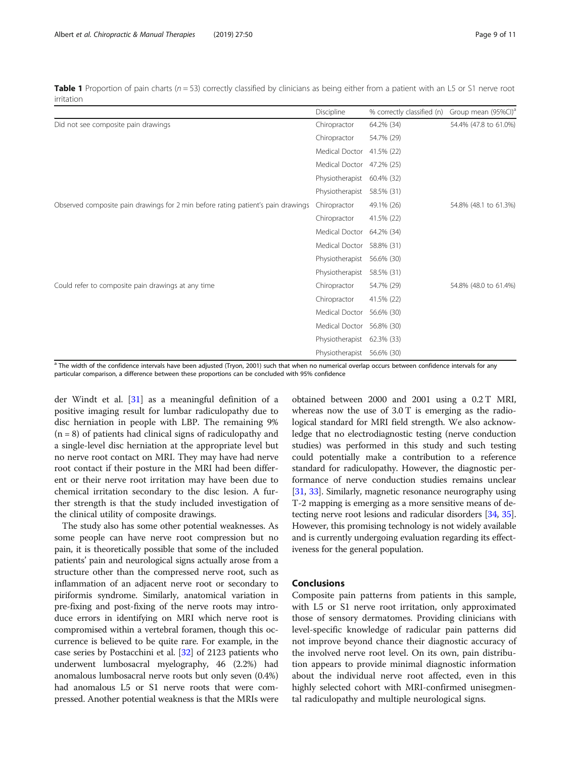<span id="page-8-0"></span>**Table 1** Proportion of pain charts ( $n = 53$ ) correctly classified by clinicians as being either from a patient with an L5 or S1 nerve root irritation

|                                                                                  | Discipline      | % correctly classified (n) | Group mean (95%Cl) <sup>a</sup> |
|----------------------------------------------------------------------------------|-----------------|----------------------------|---------------------------------|
| Did not see composite pain drawings                                              | Chiropractor    | 64.2% (34)                 | 54.4% (47.8 to 61.0%)           |
|                                                                                  | Chiropractor    | 54.7% (29)                 |                                 |
|                                                                                  | Medical Doctor  | 41.5% (22)                 |                                 |
|                                                                                  | Medical Doctor  | 47.2% (25)                 |                                 |
|                                                                                  | Physiotherapist | 60.4% (32)                 |                                 |
|                                                                                  | Physiotherapist | 58.5% (31)                 |                                 |
| Observed composite pain drawings for 2 min before rating patient's pain drawings | Chiropractor    | 49.1% (26)                 | 54.8% (48.1 to 61.3%)           |
|                                                                                  | Chiropractor    | 41.5% (22)                 |                                 |
|                                                                                  | Medical Doctor  | 64.2% (34)                 |                                 |
|                                                                                  | Medical Doctor  | 58.8% (31)                 |                                 |
|                                                                                  | Physiotherapist | 56.6% (30)                 |                                 |
|                                                                                  | Physiotherapist | 58.5% (31)                 |                                 |
| Could refer to composite pain drawings at any time                               | Chiropractor    | 54.7% (29)                 | 54.8% (48.0 to 61.4%)           |
|                                                                                  | Chiropractor    | 41.5% (22)                 |                                 |
|                                                                                  | Medical Doctor  | 56.6% (30)                 |                                 |
|                                                                                  | Medical Doctor  | 56.8% (30)                 |                                 |
|                                                                                  | Physiotherapist | 62.3% (33)                 |                                 |
|                                                                                  | Physiotherapist | 56.6% (30)                 |                                 |

<sup>a</sup> The width of the confidence intervals have been adjusted (Tryon, 2001) such that when no numerical overlap occurs between confidence intervals for any particular comparison, a difference between these proportions can be concluded with 95% confidence

der Windt et al. [[31](#page-9-0)] as a meaningful definition of a positive imaging result for lumbar radiculopathy due to disc herniation in people with LBP. The remaining 9%  $(n = 8)$  of patients had clinical signs of radiculopathy and a single-level disc herniation at the appropriate level but no nerve root contact on MRI. They may have had nerve root contact if their posture in the MRI had been different or their nerve root irritation may have been due to chemical irritation secondary to the disc lesion. A further strength is that the study included investigation of the clinical utility of composite drawings.

The study also has some other potential weaknesses. As some people can have nerve root compression but no pain, it is theoretically possible that some of the included patients' pain and neurological signs actually arose from a structure other than the compressed nerve root, such as inflammation of an adjacent nerve root or secondary to piriformis syndrome. Similarly, anatomical variation in pre-fixing and post-fixing of the nerve roots may introduce errors in identifying on MRI which nerve root is compromised within a vertebral foramen, though this occurrence is believed to be quite rare. For example, in the case series by Postacchini et al. [\[32\]](#page-9-0) of 2123 patients who underwent lumbosacral myelography, 46 (2.2%) had anomalous lumbosacral nerve roots but only seven (0.4%) had anomalous L5 or S1 nerve roots that were compressed. Another potential weakness is that the MRIs were

obtained between 2000 and 2001 using a 0.2 T MRI, whereas now the use of 3.0 T is emerging as the radiological standard for MRI field strength. We also acknowledge that no electrodiagnostic testing (nerve conduction studies) was performed in this study and such testing could potentially make a contribution to a reference standard for radiculopathy. However, the diagnostic performance of nerve conduction studies remains unclear [[31](#page-9-0), [33](#page-9-0)]. Similarly, magnetic resonance neurography using T-2 mapping is emerging as a more sensitive means of detecting nerve root lesions and radicular disorders [\[34,](#page-9-0) [35](#page-10-0)]. However, this promising technology is not widely available and is currently undergoing evaluation regarding its effectiveness for the general population.

# Conclusions

Composite pain patterns from patients in this sample, with L5 or S1 nerve root irritation, only approximated those of sensory dermatomes. Providing clinicians with level-specific knowledge of radicular pain patterns did not improve beyond chance their diagnostic accuracy of the involved nerve root level. On its own, pain distribution appears to provide minimal diagnostic information about the individual nerve root affected, even in this highly selected cohort with MRI-confirmed unisegmental radiculopathy and multiple neurological signs.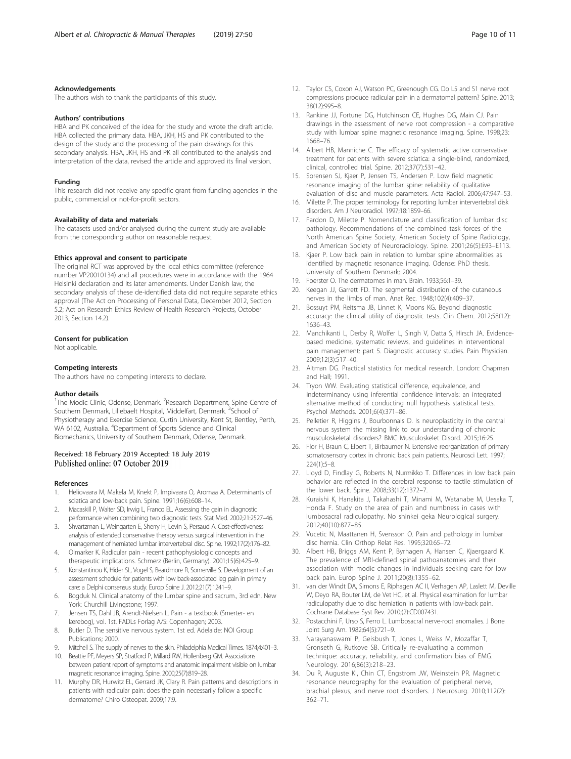## <span id="page-9-0"></span>Acknowledgements

The authors wish to thank the participants of this study.

#### Authors' contributions

HBA and PK conceived of the idea for the study and wrote the draft article. HBA collected the primary data. HBA, JKH, HS and PK contributed to the design of the study and the processing of the pain drawings for this secondary analysis. HBA, JKH, HS and PK all contributed to the analysis and interpretation of the data, revised the article and approved its final version.

#### Funding

This research did not receive any specific grant from funding agencies in the public, commercial or not-for-profit sectors.

# Availability of data and materials

The datasets used and/or analysed during the current study are available from the corresponding author on reasonable request.

## Ethics approval and consent to participate

The original RCT was approved by the local ethics committee (reference number VP20010134) and all procedures were in accordance with the 1964 Helsinki declaration and its later amendments. Under Danish law, the secondary analysis of these de-identified data did not require separate ethics approval (The Act on Processing of Personal Data, December 2012, Section 5.2; Act on Research Ethics Review of Health Research Projects, October 2013, Section 14.2).

## Consent for publication

Not applicable.

#### Competing interests

The authors have no competing interests to declare.

#### Author details

<sup>1</sup>The Modic Clinic, Odense, Denmark. <sup>2</sup>Research Department, Spine Centre of Southern Denmark, Lillebaelt Hospital, Middelfart, Denmark. <sup>3</sup>School of Physiotherapy and Exercise Science, Curtin University, Kent St, Bentley, Perth, WA 6102, Australia. <sup>4</sup>Department of Sports Science and Clinical Biomechanics, University of Southern Denmark, Odense, Denmark.

# Received: 18 February 2019 Accepted: 18 July 2019 Published online: 07 October 2019

#### References

- 1. Heliovaara M, Makela M, Knekt P, Impivaara O, Aromaa A. Determinants of sciatica and low-back pain. Spine. 1991;16(6):608–14.
- 2. Macaskill P, Walter SD, Irwig L, Franco EL. Assessing the gain in diagnostic performance when combining two diagnostic tests. Stat Med. 2002;21:2527–46.
- 3. Shvartzman L, Weingarten E, Sherry H, Levin S, Persaud A. Cost-effectiveness analysis of extended conservative therapy versus surgical intervention in the management of herniated lumbar intervertebral disc. Spine. 1992;17(2):176–82.
- 4. Olmarker K. Radicular pain recent pathophysiologic concepts and therapeutic implications. Schmerz (Berlin, Germany). 2001;15(6):425–9.
- 5. Konstantinou K, Hider SL, Vogel S, Beardmore R, Somerville S. Development of an assessment schedule for patients with low back-associated leg pain in primary care: a Delphi consensus study. Europ Spine J. 2012;21(7):1241–9.
- 6. Bogduk N. Clinical anatomy of the lumbar spine and sacrum., 3rd edn. New York: Churchill Livingstone; 1997.
- 7. Jensen TS, Dahl JB, Arendt-Nielsen L. Pain a textbook (Smerter- en lærebog), vol. 1st. FADLs Forlag A/S: Copenhagen; 2003.
- 8. Butler D. The sensitive nervous system. 1st ed. Adelaide: NOI Group Publications; 2000.
- 9. Mitchell S. The supply of nerves to the skin. Philadelphia Medical Times. 1874;4:401-3.
- 10. Beattie PF, Meyers SP, Stratford P, Millard RW, Hollenberg GM. Associations between patient report of symptoms and anatomic impairment visible on lumbar magnetic resonance imaging. Spine. 2000;25(7):819–28.
- 11. Murphy DR, Hurwitz EL, Gerrard JK, Clary R. Pain patterns and descriptions in patients with radicular pain: does the pain necessarily follow a specific dermatome? Chiro Osteopat. 2009;17:9.
- 12. Taylor CS, Coxon AJ, Watson PC, Greenough CG. Do L5 and S1 nerve root compressions produce radicular pain in a dermatomal pattern? Spine. 2013; 38(12):995–8.
- 13. Rankine JJ, Fortune DG, Hutchinson CE, Hughes DG, Main CJ. Pain drawings in the assessment of nerve root compression - a comparative study with lumbar spine magnetic resonance imaging. Spine. 1998;23: 1668–76.
- 14. Albert HB, Manniche C. The efficacy of systematic active conservative treatment for patients with severe sciatica: a single-blind, randomized, clinical, controlled trial. Spine. 2012;37(7):531–42.
- 15. Sorensen SJ, Kjaer P, Jensen TS, Andersen P. Low field magnetic resonance imaging of the lumbar spine: reliability of qualitative evaluation of disc and muscle parameters. Acta Radiol. 2006;47:947–53.
- 16. Milette P. The proper terminology for reporting lumbar intervertebral disk disorders. Am J Neuroradiol. 1997;18:1859–66.
- 17. Fardon D, Milette P. Nomenclature and classification of lumbar disc pathology. Recommendations of the combined task forces of the North American Spine Society, American Society of Spine Radiology, and American Society of Neuroradiology. Spine. 2001;26(5):E93–E113.
- 18. Kjaer P. Low back pain in relation to lumbar spine abnormalities as identified by magnetic resonance imaging. Odense: PhD thesis. University of Southern Denmark; 2004.
- 19. Foerster O. The dermatomes in man. Brain. 1933;56:1–39.
- 20. Keegan JJ, Garrett FD. The segmental distribution of the cutaneous nerves in the limbs of man. Anat Rec. 1948;102(4):409–37.
- 21. Bossuyt PM, Reitsma JB, Linnet K, Moons KG. Beyond diagnostic accuracy: the clinical utility of diagnostic tests. Clin Chem. 2012;58(12): 1636–43.
- 22. Manchikanti L, Derby R, Wolfer L, Singh V, Datta S, Hirsch JA. Evidencebased medicine, systematic reviews, and guidelines in interventional pain management: part 5. Diagnostic accuracy studies. Pain Physician. 2009;12(3):517–40.
- 23. Altman DG. Practical statistics for medical research. London: Chapman and Hall; 1991.
- 24. Tryon WW. Evaluating statistical difference, equivalence, and indeterminancy using inferential confidence intervals: an integrated alternative method of conducting null hypothesis statistical tests. Psychol Methods. 2001;6(4):371–86.
- 25. Pelletier R, Higgins J, Bourbonnais D. Is neuroplasticity in the central nervous system the missing link to our understanding of chronic musculoskeletal disorders? BMC Musculoskelet Disord. 2015;16:25.
- 26. Flor H, Braun C, Elbert T, Birbaumer N. Extensive reorganization of primary somatosensory cortex in chronic back pain patients. Neurosci Lett. 1997; 224(1):5–8.
- 27. Lloyd D, Findlay G, Roberts N, Nurmikko T. Differences in low back pain behavior are reflected in the cerebral response to tactile stimulation of the lower back. Spine. 2008;33(12):1372–7.
- 28. Kuraishi K, Hanakita J, Takahashi T, Minami M, Watanabe M, Uesaka T, Honda F. Study on the area of pain and numbness in cases with lumbosacral radiculopathy. No shinkei geka Neurological surgery. 2012;40(10):877–85.
- 29. Vucetic N, Maattanen H, Svensson O. Pain and pathology in lumbar disc hernia. Clin Orthop Relat Res. 1995;320:65–72.
- 30. Albert HB, Briggs AM, Kent P, Byrhagen A, Hansen C, Kjaergaard K. The prevalence of MRI-defined spinal pathoanatomies and their association with modic changes in individuals seeking care for low back pain. Europ Spine J. 2011;20(8):1355–62.
- 31. van der Windt DA, Simons E, Riphagen AC II, Verhagen AP, Laslett M, Deville W, Deyo RA, Bouter LM, de Vet HC, et al. Physical examination for lumbar radiculopathy due to disc herniation in patients with low-back pain. Cochrane Database Syst Rev. 2010;(2):CD007431.
- 32. Postacchini F, Urso S, Ferro L. Lumbosacral nerve-root anomalies. J Bone Joint Surg Am. 1982;64(5):721–9.
- 33. Narayanaswami P, Geisbush T, Jones L, Weiss M, Mozaffar T, Gronseth G, Rutkove SB. Critically re-evaluating a common technique: accuracy, reliability, and confirmation bias of EMG. Neurology. 2016;86(3):218–23.
- 34. Du R, Auguste KI, Chin CT, Engstrom JW, Weinstein PR. Magnetic resonance neurography for the evaluation of peripheral nerve, brachial plexus, and nerve root disorders. J Neurosurg. 2010;112(2): 362–71.